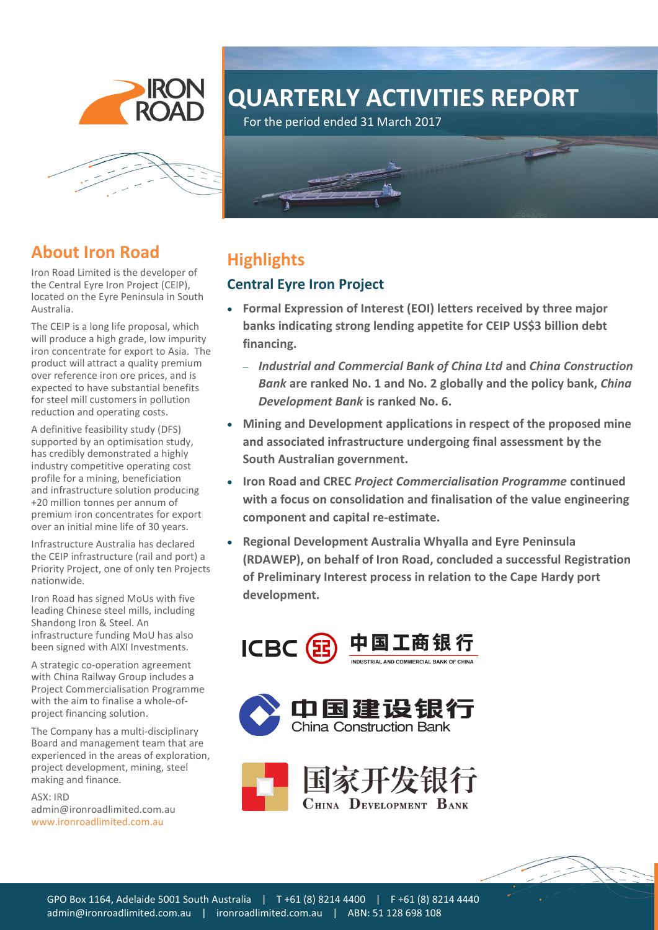

# **QUARTERLY ACTIVITIES REPORT**

For the period ended 31 March 2017



### **About Iron Road**

Iron Road Limited is the developer of the Central Eyre Iron Project (CEIP), located on the Eyre Peninsula in South Australia.

The CEIP is a long life proposal, which will produce a high grade, low impurity iron concentrate for export to Asia. The product will attract a quality premium over reference iron ore prices, and is expected to have substantial benefits for steel mill customers in pollution reduction and operating costs.

A definitive feasibility study (DFS) supported by an optimisation study, has credibly demonstrated a highly industry competitive operating cost profile for a mining, beneficiation and infrastructure solution producing +20 million tonnes per annum of premium iron concentrates for export over an initial mine life of 30 years.

Infrastructure Australia has declared the CEIP infrastructure (rail and port) a Priority Project, one of only ten Projects nationwide.

Iron Road has signed MoUs with five leading Chinese steel mills, including Shandong Iron & Steel. An infrastructure funding MoU has also been signed with AIXI Investments.

A strategic co-operation agreement with China Railway Group includes a Project Commercialisation Programme with the aim to finalise a whole-ofproject financing solution.

The Company has a multi-disciplinary Board and management team that are experienced in the areas of exploration, project development, mining, steel making and finance.

ASX: IRD [admin@ironroadlimited.com.au](mailto:admin@ironroadlimited.com.au) [www.ironroadlimited.com.au](file:///C:/Users/Paige/Dropbox/Clients/Egg%20Design/Iron%20Road/www.ironroadlimited.com.au)



# **Highlights**

### **Central Eyre Iron Project**

- **Formal Expression of Interest (EOI) letters received by three major banks indicating strong lending appetite for CEIP US\$3 billion debt financing.**
	- *Industrial and Commercial Bank of China Ltd* **and** *China Construction Bank* **are ranked No. 1 and No. 2 globally and the policy bank,** *China Development Bank* **is ranked No. 6.**
- **Mining and Development applications in respect of the proposed mine and associated infrastructure undergoing final assessment by the South Australian government.**
- **Iron Road and CREC** *Project Commercialisation Programme* **continued with a focus on consolidation and finalisation of the value engineering component and capital re-estimate.**
- **Regional Development Australia Whyalla and Eyre Peninsula (RDAWEP), on behalf of Iron Road, concluded a successful Registration of Preliminary Interest process in relation to the Cape Hardy port development.**





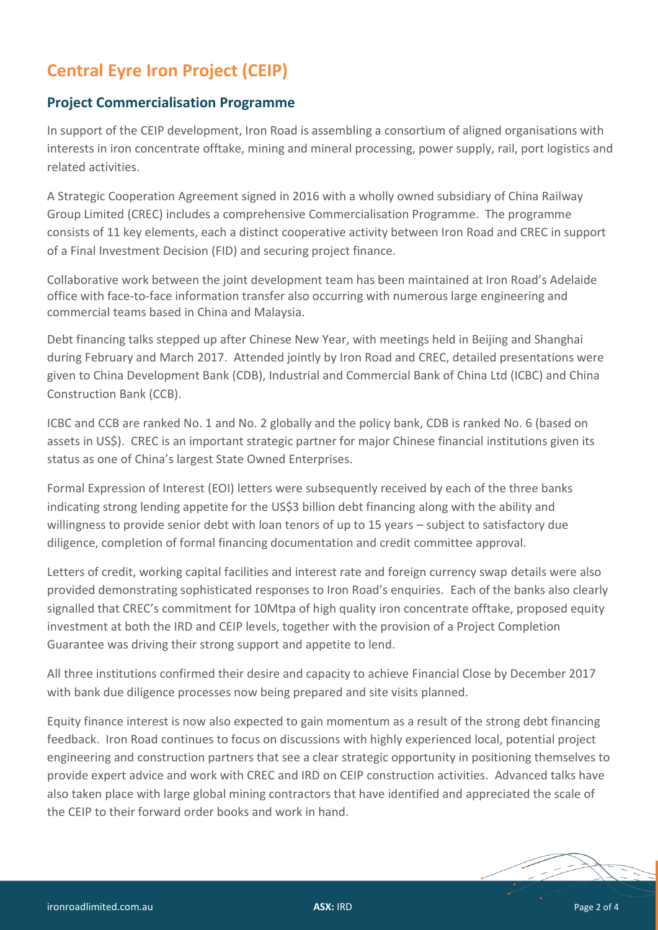# **Central Eyre Iron Project (CEIP)**

#### **Project Commercialisation Programme**

In support of the CEIP development, Iron Road is assembling a consortium of aligned organisations with interests in iron concentrate offtake, mining and mineral processing, power supply, rail, port logistics and related activities.

A Strategic Cooperation Agreement signed in 2016 with a wholly owned subsidiary of China Railway Group Limited (CREC) includes a comprehensive Commercialisation Programme. The programme consists of 11 key elements, each a distinct cooperative activity between Iron Road and CREC in support of a Final Investment Decision (FID) and securing project finance.

Collaborative work between the joint development team has been maintained at Iron Road's Adelaide office with face-to-face information transfer also occurring with numerous large engineering and commercial teams based in China and Malaysia.

Debt financing talks stepped up after Chinese New Year, with meetings held in Beijing and Shanghai during February and March 2017. Attended jointly by Iron Road and CREC, detailed presentations were given to China Development Bank (CDB), Industrial and Commercial Bank of China Ltd (ICBC) and China Construction Bank (CCB).

ICBC and CCB are ranked No. 1 and No. 2 globally and the policy bank, CDB is ranked No. 6 (based on assets in US\$). CREC is an important strategic partner for major Chinese financial institutions given its status as one of China's largest State Owned Enterprises.

Formal Expression of Interest (EOI) letters were subsequently received by each of the three banks indicating strong lending appetite for the US\$3 billion debt financing along with the ability and willingness to provide senior debt with loan tenors of up to 15 years – subject to satisfactory due diligence, completion of formal financing documentation and credit committee approval.

Letters of credit, working capital facilities and interest rate and foreign currency swap details were also provided demonstrating sophisticated responses to Iron Road's enquiries. Each of the banks also clearly signalled that CREC's commitment for 10Mtpa of high quality iron concentrate offtake, proposed equity investment at both the IRD and CEIP levels, together with the provision of a Project Completion Guarantee was driving their strong support and appetite to lend.

All three institutions confirmed their desire and capacity to achieve Financial Close by December 2017 with bank due diligence processes now being prepared and site visits planned.

Equity finance interest is now also expected to gain momentum as a result of the strong debt financing feedback. Iron Road continues to focus on discussions with highly experienced local, potential project engineering and construction partners that see a clear strategic opportunity in positioning themselves to provide expert advice and work with CREC and IRD on CEIP construction activities. Advanced talks have also taken place with large global mining contractors that have identified and appreciated the scale of the CEIP to their forward order books and work in hand.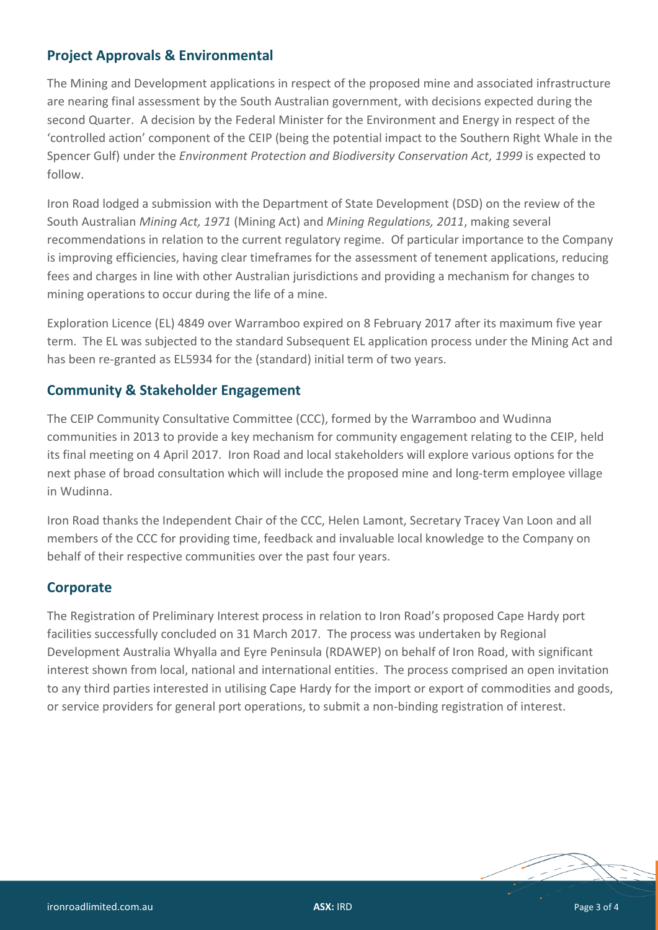### **Project Approvals & Environmental**

The Mining and Development applications in respect of the proposed mine and associated infrastructure are nearing final assessment by the South Australian government, with decisions expected during the second Quarter. A decision by the Federal Minister for the Environment and Energy in respect of the 'controlled action' component of the CEIP (being the potential impact to the Southern Right Whale in the Spencer Gulf) under the *Environment Protection and Biodiversity Conservation Act, 1999* is expected to follow.

Iron Road lodged a submission with the Department of State Development (DSD) on the review of the South Australian *Mining Act, 1971* (Mining Act) and *Mining Regulations, 2011*, making several recommendations in relation to the current regulatory regime. Of particular importance to the Company is improving efficiencies, having clear timeframes for the assessment of tenement applications, reducing fees and charges in line with other Australian jurisdictions and providing a mechanism for changes to mining operations to occur during the life of a mine.

Exploration Licence (EL) 4849 over Warramboo expired on 8 February 2017 after its maximum five year term. The EL was subjected to the standard Subsequent EL application process under the Mining Act and has been re-granted as EL5934 for the (standard) initial term of two years.

### **Community & Stakeholder Engagement**

The CEIP Community Consultative Committee (CCC), formed by the Warramboo and Wudinna communities in 2013 to provide a key mechanism for community engagement relating to the CEIP, held its final meeting on 4 April 2017. Iron Road and local stakeholders will explore various options for the next phase of broad consultation which will include the proposed mine and long-term employee village in Wudinna.

Iron Road thanks the Independent Chair of the CCC, Helen Lamont, Secretary Tracey Van Loon and all members of the CCC for providing time, feedback and invaluable local knowledge to the Company on behalf of their respective communities over the past four years.

#### **Corporate**

The Registration of Preliminary Interest process in relation to Iron Road's proposed Cape Hardy port facilities successfully concluded on 31 March 2017. The process was undertaken by Regional Development Australia Whyalla and Eyre Peninsula (RDAWEP) on behalf of Iron Road, with significant interest shown from local, national and international entities. The process comprised an open invitation to any third parties interested in utilising Cape Hardy for the import or export of commodities and goods, or service providers for general port operations, to submit a non-binding registration of interest.